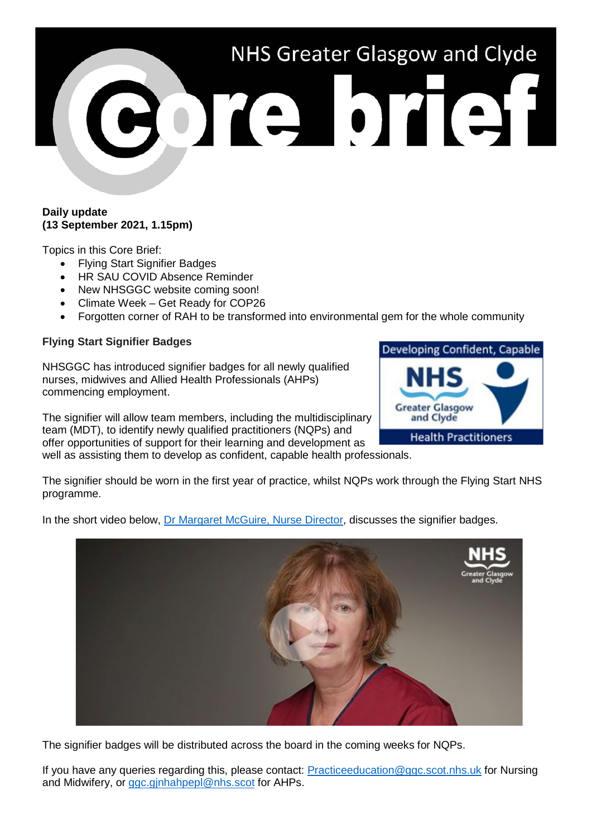# NHS Greater Glasgow and Clyde Cone brief

### **Daily update (13 September 2021, 1.15pm)**

Topics in this Core Brief:

- Flying Start Signifier Badges
- HR SAU COVID Absence Reminder
- New NHSGGC website coming soon!
- Climate Week Get Ready for COP26
- Forgotten corner of RAH to be transformed into environmental gem for the whole community

# **Flying Start Signifier Badges**

programme.

NHSGGC has introduced signifier badges for all newly qualified nurses, midwives and Allied Health Professionals (AHPs) commencing employment.

The signifier will allow team members, including the multidisciplinary team (MDT), to identify newly qualified practitioners (NQPs) and offer opportunities of support for their learning and development as well as assisting them to develop as confident, capable health professionals.

The signifier should be worn in the first year of practice, whilst NQPs work through the Flying Start NHS

In the short video below, [Dr Margaret McGuire, Nurse Director,](https://www.youtube.com/watch?v=xuMldVYLylA) discusses the signifier badges.



The signifier badges will be distributed across the board in the coming weeks for NQPs.

If you have any queries regarding this, please contact: [Practiceeducation@ggc.scot.nhs.uk](mailto:Practiceeducation@ggc.scot.nhs.uk) for Nursing and Midwifery, or ggc.ginhahpepl@nhs.scot for AHPs.

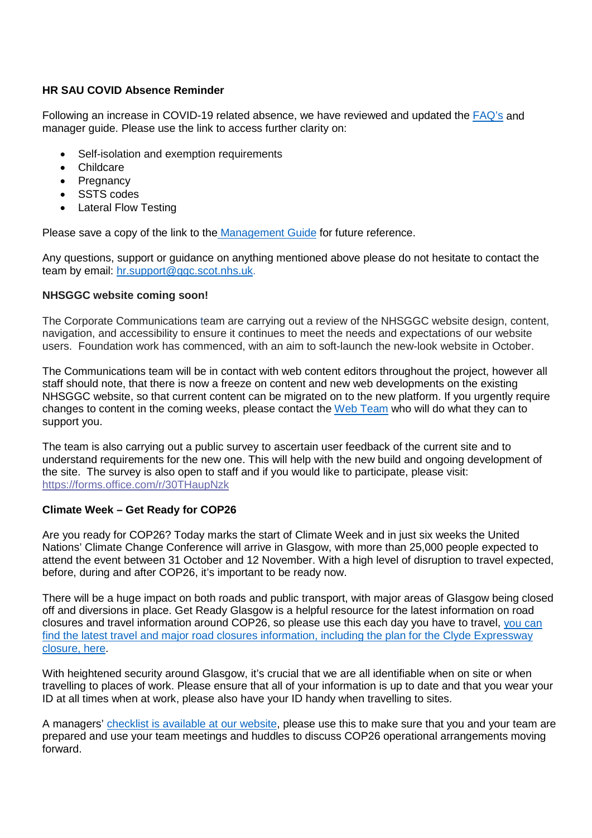# **HR SAU COVID Absence Reminder**

Following an increase in COVID-19 related absence, we have reviewed and updated the [FAQ's](https://www.nhsggc.org.uk/media/269290/faqs-staff-covid-last-updated-09-september-2021.pdf) and manager guide. Please use the link to access further clarity on:

- Self-isolation and exemption requirements
- Childcare
- Pregnancy
- SSTS codes
- Lateral Flow Testing

Please save a copy of the link to the [Management Guide](https://www.nhsggc.org.uk/media/269295/management-quick-guide-v10-090921-1.pdf) for future reference.

Any questions, support or guidance on anything mentioned above please do not hesitate to contact the team by email: [hr.support@ggc.scot.nhs.uk.](mailto:hr.support@ggc.scot.nhs.uk)

## **NHSGGC website coming soon!**

The Corporate Communications team are carrying out a review of the NHSGGC website design, content, navigation, and accessibility to ensure it continues to meet the needs and expectations of our website users. Foundation work has commenced, with an aim to soft-launch the new-look website in October.

The Communications team will be in contact with web content editors throughout the project, however all staff should note, that there is now a freeze on content and new web developments on the existing NHSGGC website, so that current content can be migrated on to the new platform. If you urgently require changes to content in the coming weeks, please contact the [Web Team](mailto:webteam@ggc.scot.nhs.uk) who will do what they can to support you.

The team is also carrying out a public survey to ascertain user feedback of the current site and to understand requirements for the new one. This will help with the new build and ongoing development of the site. The survey is also open to staff and if you would like to participate, please visit: <https://forms.office.com/r/30THaupNzk>

## **Climate Week – Get Ready for COP26**

Are you ready for COP26? Today marks the start of Climate Week and in just six weeks the United Nations' Climate Change Conference will arrive in Glasgow, with more than 25,000 people expected to attend the event between 31 October and 12 November. With a high level of disruption to travel expected, before, during and after COP26, it's important to be ready now.

There will be a huge impact on both roads and public transport, with major areas of Glasgow being closed off and diversions in place. Get Ready Glasgow is a helpful resource for the latest information on road closures and travel information around COP26, so please use this each day you have to travel, [you can](https://www.getreadyglasgow.com/cop26/traffic-and-travel)  [find the latest travel and major road closures information, including the plan for the Clyde Expressway](https://www.getreadyglasgow.com/cop26/traffic-and-travel)  [closure, here.](https://www.getreadyglasgow.com/cop26/traffic-and-travel)

With heightened security around Glasgow, it's crucial that we are all identifiable when on site or when travelling to places of work. Please ensure that all of your information is up to date and that you wear your ID at all times when at work, please also have your ID handy when travelling to sites.

A managers' [checklist is available at our website,](https://www.nhsggc.org.uk/media/269224/cop26-checklist-for-managers.pdf) please use this to make sure that you and your team are prepared and use your team meetings and huddles to discuss COP26 operational arrangements moving forward.